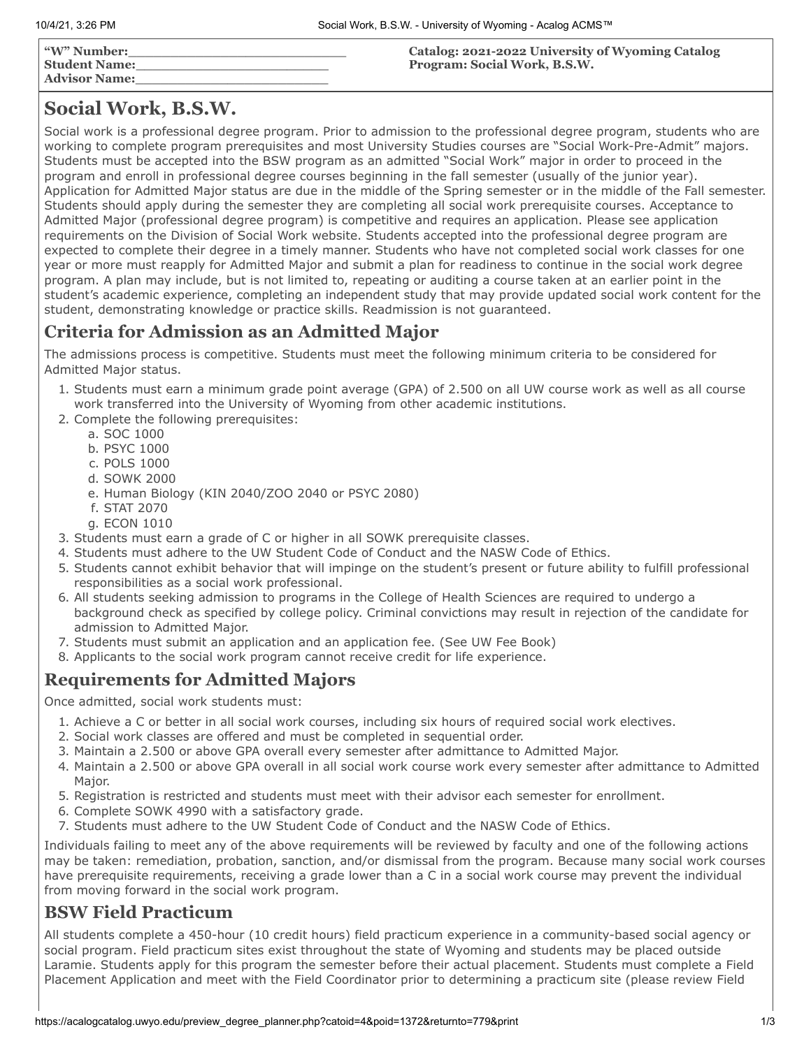| "W" Number:<br>  Student Name:<br>  Advisor Name: | Catalog: 2021-2022 University of Wyoming Catalog<br>Program: Social Work, B.S.W. |
|---------------------------------------------------|----------------------------------------------------------------------------------|
|---------------------------------------------------|----------------------------------------------------------------------------------|

# **Social Work, B.S.W.**

Social work is a professional degree program. Prior to admission to the professional degree program, students who are working to complete program prerequisites and most University Studies courses are "Social Work-Pre-Admit" majors. Students must be accepted into the BSW program as an admitted "Social Work" major in order to proceed in the program and enroll in professional degree courses beginning in the fall semester (usually of the junior year). Application for Admitted Major status are due in the middle of the Spring semester or in the middle of the Fall semester. Students should apply during the semester they are completing all social work prerequisite courses. Acceptance to Admitted Major (professional degree program) is competitive and requires an application. Please see application requirements on the Division of Social Work website. Students accepted into the professional degree program are expected to complete their degree in a timely manner. Students who have not completed social work classes for one year or more must reapply for Admitted Major and submit a plan for readiness to continue in the social work degree program. A plan may include, but is not limited to, repeating or auditing a course taken at an earlier point in the student's academic experience, completing an independent study that may provide updated social work content for the student, demonstrating knowledge or practice skills. Readmission is not guaranteed.

# **Criteria for Admission as an Admitted Major**

The admissions process is competitive. Students must meet the following minimum criteria to be considered for Admitted Major status.

- 1. Students must earn a minimum grade point average (GPA) of 2.500 on all UW course work as well as all course work transferred into the University of Wyoming from other academic institutions.
- 2. Complete the following prerequisites:
	- a. SOC 1000
	- b. PSYC 1000
	- c. POLS 1000
	- d. SOWK 2000
	- e. Human Biology (KIN 2040/ZOO 2040 or PSYC 2080)
	- f. STAT 2070
	- g. ECON 1010
- 3. Students must earn a grade of C or higher in all SOWK prerequisite classes.
- 4. Students must adhere to the UW Student Code of Conduct and the NASW Code of Ethics.
- 5. Students cannot exhibit behavior that will impinge on the student's present or future ability to fulfill professional responsibilities as a social work professional.
- 6. All students seeking admission to programs in the College of Health Sciences are required to undergo a background check as specified by college policy. Criminal convictions may result in rejection of the candidate for admission to Admitted Major.
- 7. Students must submit an application and an application fee. (See UW Fee Book)
- 8. Applicants to the social work program cannot receive credit for life experience.

# **Requirements for Admitted Majors**

Once admitted, social work students must:

- 1. Achieve a C or better in all social work courses, including six hours of required social work electives.
- 2. Social work classes are offered and must be completed in sequential order.
- 3. Maintain a 2.500 or above GPA overall every semester after admittance to Admitted Major.
- 4. Maintain a 2.500 or above GPA overall in all social work course work every semester after admittance to Admitted Major.
- 5. Registration is restricted and students must meet with their advisor each semester for enrollment.
- 6. Complete SOWK 4990 with a satisfactory grade.
- 7. Students must adhere to the UW Student Code of Conduct and the NASW Code of Ethics.

Individuals failing to meet any of the above requirements will be reviewed by faculty and one of the following actions may be taken: remediation, probation, sanction, and/or dismissal from the program. Because many social work courses have prerequisite requirements, receiving a grade lower than a C in a social work course may prevent the individual from moving forward in the social work program.

## **BSW Field Practicum**

All students complete a 450-hour (10 credit hours) field practicum experience in a community-based social agency or social program. Field practicum sites exist throughout the state of Wyoming and students may be placed outside Laramie. Students apply for this program the semester before their actual placement. Students must complete a Field Placement Application and meet with the Field Coordinator prior to determining a practicum site (please review Field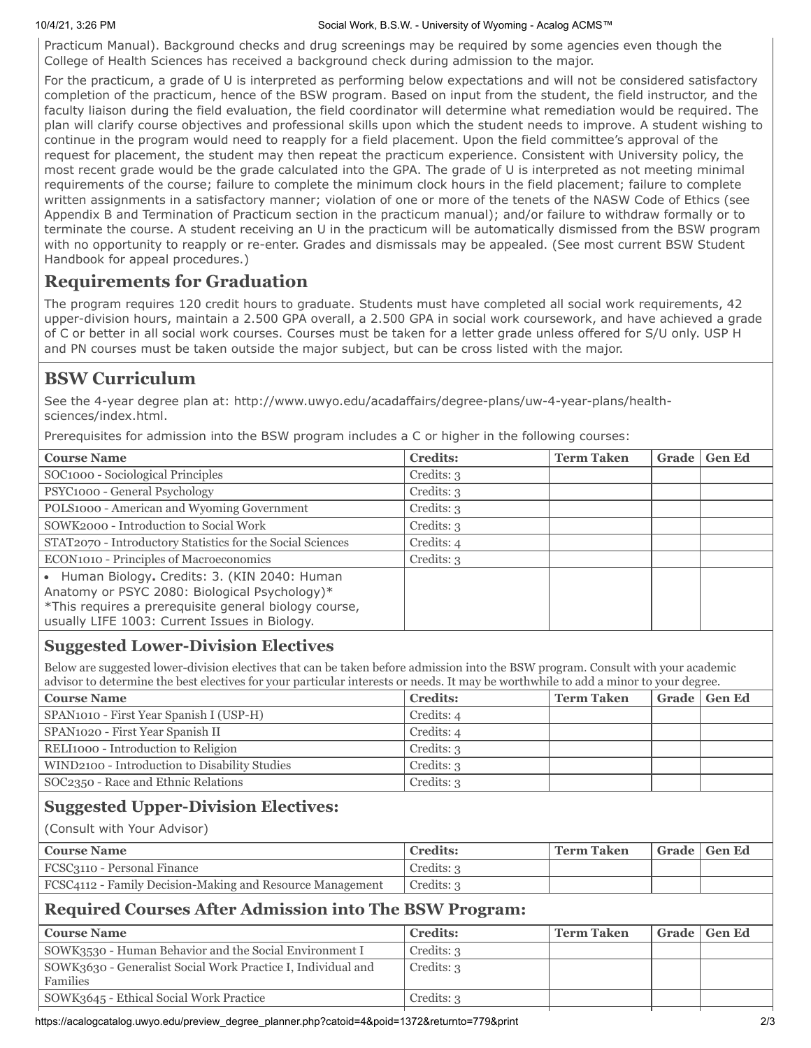#### 10/4/21, 3:26 PM Social Work, B.S.W. - University of Wyoming - Acalog ACMS™

Practicum Manual). Background checks and drug screenings may be required by some agencies even though the College of Health Sciences has received a background check during admission to the major.

For the practicum, a grade of U is interpreted as performing below expectations and will not be considered satisfactory completion of the practicum, hence of the BSW program. Based on input from the student, the field instructor, and the faculty liaison during the field evaluation, the field coordinator will determine what remediation would be required. The plan will clarify course objectives and professional skills upon which the student needs to improve. A student wishing to continue in the program would need to reapply for a field placement. Upon the field committee's approval of the request for placement, the student may then repeat the practicum experience. Consistent with University policy, the most recent grade would be the grade calculated into the GPA. The grade of U is interpreted as not meeting minimal requirements of the course; failure to complete the minimum clock hours in the field placement; failure to complete written assignments in a satisfactory manner; violation of one or more of the tenets of the NASW Code of Ethics (see Appendix B and Termination of Practicum section in the practicum manual); and/or failure to withdraw formally or to terminate the course. A student receiving an U in the practicum will be automatically dismissed from the BSW program with no opportunity to reapply or re-enter. Grades and dismissals may be appealed. (See most current BSW Student Handbook for appeal procedures.)

## **Requirements for Graduation**

The program requires 120 credit hours to graduate. Students must have completed all social work requirements, 42 upper-division hours, maintain a 2.500 GPA overall, a 2.500 GPA in social work coursework, and have achieved a grade of C or better in all social work courses. Courses must be taken for a letter grade unless offered for S/U only. USP H and PN courses must be taken outside the major subject, but can be cross listed with the major.

# **BSW Curriculum**

See the 4-year degree plan at: http://www.uwyo.edu/acadaffairs/degree-plans/uw-4-year-plans/healthsciences/index.html.

Prerequisites for admission into the BSW program includes a C or higher in the following courses:

| <b>Course Name</b>                                                                                                                                                                                       | <b>Credits:</b> | <b>Term Taken</b> | Grade | <b>Gen Ed</b> |
|----------------------------------------------------------------------------------------------------------------------------------------------------------------------------------------------------------|-----------------|-------------------|-------|---------------|
| SOC1000 - Sociological Principles                                                                                                                                                                        | Credits: 3      |                   |       |               |
| PSYC1000 - General Psychology                                                                                                                                                                            | Credits: 3      |                   |       |               |
| POLS1000 - American and Wyoming Government                                                                                                                                                               | Credits: 3      |                   |       |               |
| SOWK2000 - Introduction to Social Work                                                                                                                                                                   | Credits: 3      |                   |       |               |
| STAT2070 - Introductory Statistics for the Social Sciences                                                                                                                                               | Credits: 4      |                   |       |               |
| ECON1010 - Principles of Macroeconomics                                                                                                                                                                  | Credits: 3      |                   |       |               |
| • Human Biology. Credits: 3. (KIN 2040: Human<br>Anatomy or PSYC 2080: Biological Psychology)*<br>*This requires a prerequisite general biology course,<br>usually LIFE 1003: Current Issues in Biology. |                 |                   |       |               |

## **Suggested Lower-Division Electives**

Below are suggested lower-division electives that can be taken before admission into the BSW program. Consult with your academic advisor to determine the best electives for your particular interests or needs. It may be worthwhile to add a minor to your degree.

| <b>Course Name</b>                            | <b>Credits:</b> | <b>Term Taken</b> | Grade   Gen Ed |
|-----------------------------------------------|-----------------|-------------------|----------------|
| SPAN1010 - First Year Spanish I (USP-H)       | Credits: 4      |                   |                |
| SPAN1020 - First Year Spanish II              | Credits: 4      |                   |                |
| RELI1000 - Introduction to Religion           | Credits: 3      |                   |                |
| WIND2100 - Introduction to Disability Studies | Credits: 3      |                   |                |
| SOC2350 - Race and Ethnic Relations           | Credits: 3      |                   |                |

## **Suggested Upper-Division Electives:**

(Consult with Your Advisor)

| Course Name                                               | <b>Credits:</b> | <b>Term Taken</b> | <sup> </sup> Grade   Gen Ed |
|-----------------------------------------------------------|-----------------|-------------------|-----------------------------|
| FCSC3110 - Personal Finance                               | Credits: 3      |                   |                             |
| FCSC4112 - Family Decision-Making and Resource Management | Credits: 3      |                   |                             |

## **Required Courses After Admission into The BSW Program:**

| <b>Course Name</b>                                                       | <b>Credits:</b> | Term Taken | Grade   Gen Ed |
|--------------------------------------------------------------------------|-----------------|------------|----------------|
| SOWK3530 - Human Behavior and the Social Environment I                   | Credits: 3      |            |                |
| SOWK3630 - Generalist Social Work Practice I, Individual and<br>Families | Credits: 3      |            |                |
| SOWK3645 - Ethical Social Work Practice                                  | Credits: 3      |            |                |

https://acalogcatalog.uwyo.edu/preview\_degree\_planner.php?catoid=4&poid=1372&returnto=779&print 2/3